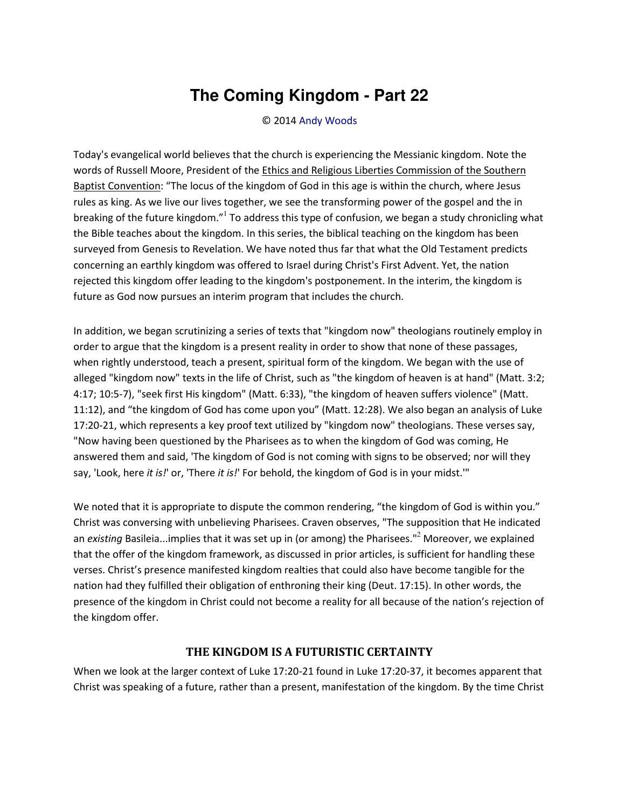## **The Coming Kingdom - Part 22**

## © 2014 [Andy Woods](http://www.spiritandtruth.org/id/aw.htm)

Today's evangelical world believes that the church is experiencing the Messianic kingdom. Note the words of Russell Moore, President of th[e Ethics and Religious Liberties Commission of the Southern](http://erlc.com/)  [Baptist Convention:](http://erlc.com/) "The locus of the kingdom of God in this age is within the church, where Jesus rules as king. As we live our lives together, we see the transforming power of the gospel and the in breaking of the future kingdom.<sup>µ1</sup> To address this type of confusion, we began a study chronicling what the Bible teaches about the kingdom. In this series, the biblical teaching on the kingdom has been surveyed from Genesis to Revelation. We have noted thus far that what the Old Testament predicts concerning an earthly kingdom was offered to Israel during Christ's First Advent. Yet, the nation rejected this kingdom offer leading to the kingdom's postponement. In the interim, the kingdom is future as God now pursues an interim program that includes the church.

In addition, we began scrutinizing a series of texts that "kingdom now" theologians routinely employ in order to argue that the kingdom is a present reality in order to show that none of these passages, when rightly understood, teach a present, spiritual form of the kingdom. We began with the use of alleged "kingdom now" texts in the life of Christ, such as "the kingdom of heaven is at hand" (Matt. 3:2; 4:17; 10:5-7), "seek first His kingdom" (Matt. 6:33), "the kingdom of heaven suffers violence" (Matt. 11:12), and "the kingdom of God has come upon you" (Matt. 12:28). We also began an analysis of Luke 17:20-21, which represents a key proof text utilized by "kingdom now" theologians. These verses say, "Now having been questioned by the Pharisees as to when the kingdom of God was coming, He answered them and said, 'The kingdom of God is not coming with signs to be observed; nor will they say, 'Look, here *it is!*' or, 'There *it is!*' For behold, the kingdom of God is in your midst.'"

We noted that it is appropriate to dispute the common rendering, "the kingdom of God is within you." Christ was conversing with unbelieving Pharisees. Craven observes, "The supposition that He indicated an *existing* Basileia...implies that it was set up in (or among) the Pharisees."<sup>2</sup> Moreover, we explained that the offer of the kingdom framework, as discussed in prior articles, is sufficient for handling these verses. Christ's presence manifested kingdom realties that could also have become tangible for the nation had they fulfilled their obligation of enthroning their king (Deut. 17:15). In other words, the presence of the kingdom in Christ could not become a reality for all because of the nation's rejection of the kingdom offer.

## **THE KINGDOM IS A FUTURISTIC CERTAINTY**

When we look at the larger context of Luke 17:20-21 found in Luke 17:20-37, it becomes apparent that Christ was speaking of a future, rather than a present, manifestation of the kingdom. By the time Christ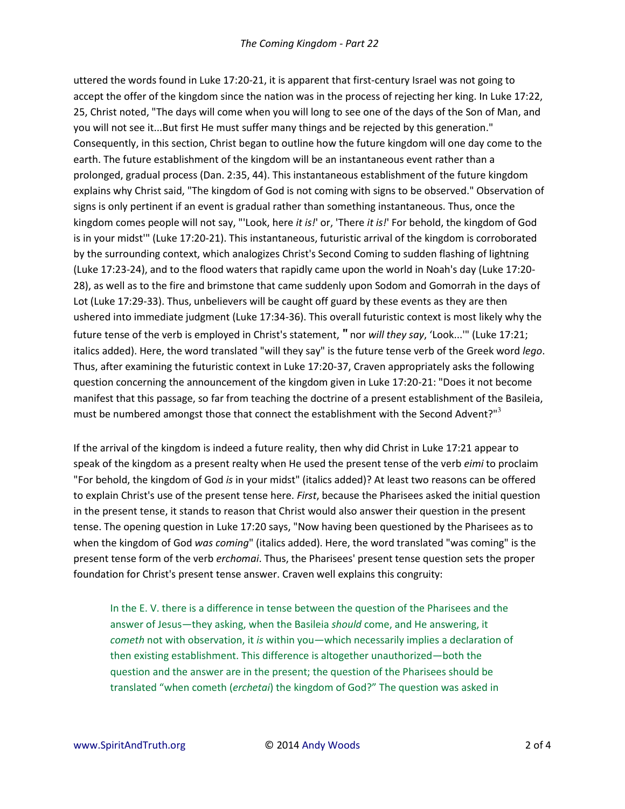uttered the words found in Luke 17:20-21, it is apparent that first-century Israel was not going to accept the offer of the kingdom since the nation was in the process of rejecting her king. In Luke 17:22, 25, Christ noted, "The days will come when you will long to see one of the days of the Son of Man, and you will not see it...But first He must suffer many things and be rejected by this generation." Consequently, in this section, Christ began to outline how the future kingdom will one day come to the earth. The future establishment of the kingdom will be an instantaneous event rather than a prolonged, gradual process (Dan. 2:35, 44). This instantaneous establishment of the future kingdom explains why Christ said, "The kingdom of God is not coming with signs to be observed." Observation of signs is only pertinent if an event is gradual rather than something instantaneous. Thus, once the kingdom comes people will not say, "'Look, here *it is!*' or, 'There *it is!*' For behold, the kingdom of God is in your midst'" (Luke 17:20-21). This instantaneous, futuristic arrival of the kingdom is corroborated by the surrounding context, which analogizes Christ's Second Coming to sudden flashing of lightning (Luke 17:23-24), and to the flood waters that rapidly came upon the world in Noah's day (Luke 17:20- 28), as well as to the fire and brimstone that came suddenly upon Sodom and Gomorrah in the days of Lot (Luke 17:29-33). Thus, unbelievers will be caught off guard by these events as they are then ushered into immediate judgment (Luke 17:34-36). This overall futuristic context is most likely why the future tense of the verb is employed in Christ's statement, " nor will they say, 'Look...'" (Luke 17:21; italics added). Here, the word translated "will they say" is the future tense verb of the Greek word *lego*. Thus, after examining the futuristic context in Luke 17:20-37, Craven appropriately asks the following question concerning the announcement of the kingdom given in Luke 17:20-21: "Does it not become manifest that this passage, so far from teaching the doctrine of a present establishment of the Basileia, must be numbered amongst those that connect the establishment with the Second Advent?"<sup>3</sup>

If the arrival of the kingdom is indeed a future reality, then why did Christ in Luke 17:21 appear to speak of the kingdom as a present realty when He used the present tense of the verb *eimi* to proclaim "For behold, the kingdom of God *is* in your midst" (italics added)? At least two reasons can be offered to explain Christ's use of the present tense here. *First*, because the Pharisees asked the initial question in the present tense, it stands to reason that Christ would also answer their question in the present tense. The opening question in Luke 17:20 says, "Now having been questioned by the Pharisees as to when the kingdom of God *was coming*" (italics added). Here, the word translated "was coming" is the present tense form of the verb *erchomai*. Thus, the Pharisees' present tense question sets the proper foundation for Christ's present tense answer. Craven well explains this congruity:

In the E. V. there is a difference in tense between the question of the Pharisees and the answer of Jesus—they asking, when the Basileia *should* come, and He answering, it *cometh* not with observation, it *is* within you—which necessarily implies a declaration of then existing establishment. This difference is altogether unauthorized—both the question and the answer are in the present; the question of the Pharisees should be translated "when cometh (*erchetai*) the kingdom of God?" The question was asked in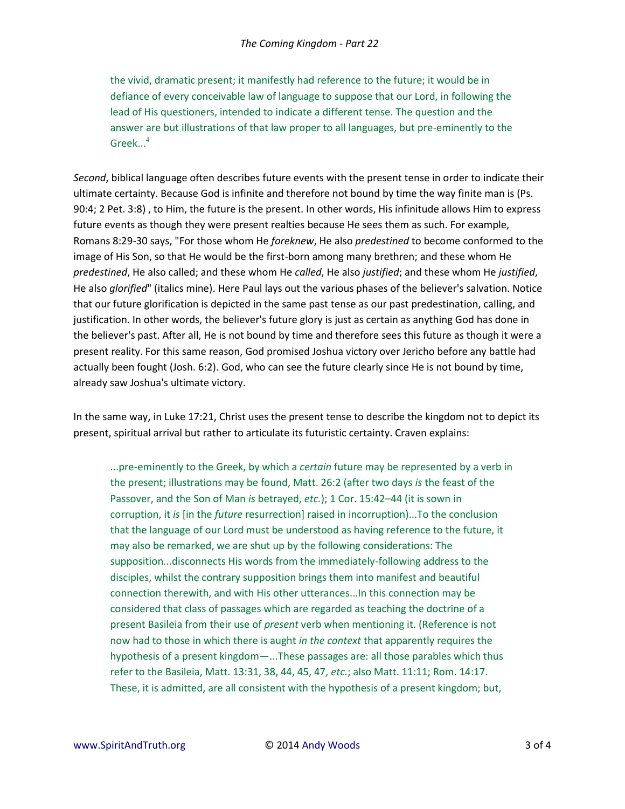the vivid, dramatic present; it manifestly had reference to the future; it would be in defiance of every conceivable law of language to suppose that our Lord, in following the lead of His questioners, intended to indicate a different tense. The question and the answer are but illustrations of that law proper to all languages, but pre-eminently to the Greek $\dots^4$ 

*Second*, biblical language often describes future events with the present tense in order to indicate their ultimate certainty. Because God is infinite and therefore not bound by time the way finite man is (Ps. 90:4; 2 Pet. 3:8) , to Him, the future is the present. In other words, His infinitude allows Him to express future events as though they were present realties because He sees them as such. For example, Romans 8:29-30 says, "For those whom He *foreknew*, He also *predestined* to become conformed to the image of His Son, so that He would be the first-born among many brethren; and these whom He *predestined*, He also called; and these whom He *called*, He also *justified*; and these whom He *justified*, He also *glorified*" (italics mine). Here Paul lays out the various phases of the believer's salvation. Notice that our future glorification is depicted in the same past tense as our past predestination, calling, and justification. In other words, the believer's future glory is just as certain as anything God has done in the believer's past. After all, He is not bound by time and therefore sees this future as though it were a present reality. For this same reason, God promised Joshua victory over Jericho before any battle had actually been fought (Josh. 6:2). God, who can see the future clearly since He is not bound by time, already saw Joshua's ultimate victory.

In the same way, in Luke 17:21, Christ uses the present tense to describe the kingdom not to depict its present, spiritual arrival but rather to articulate its futuristic certainty. Craven explains:

...pre-eminently to the Greek, by which a *certain* future may be represented by a verb in the present; illustrations may be found, Matt. 26:2 (after two days *is* the feast of the Passover, and the Son of Man *is* betrayed, *etc.*); 1 Cor. 15:42–44 (it is sown in corruption, it *is* [in the *future* resurrection] raised in incorruption)...To the conclusion that the language of our Lord must be understood as having reference to the future, it may also be remarked, we are shut up by the following considerations: The supposition...disconnects His words from the immediately-following address to the disciples, whilst the contrary supposition brings them into manifest and beautiful connection therewith, and with His other utterances...In this connection may be considered that class of passages which are regarded as teaching the doctrine of a present Basileia from their use of *present* verb when mentioning it. (Reference is not now had to those in which there is aught *in the context* that apparently requires the hypothesis of a present kingdom—...These passages are: all those parables which thus refer to the Basileia, Matt. 13:31, 38, 44, 45, 47, *etc.*; also Matt. 11:11; Rom. 14:17. These, it is admitted, are all consistent with the hypothesis of a present kingdom; but,